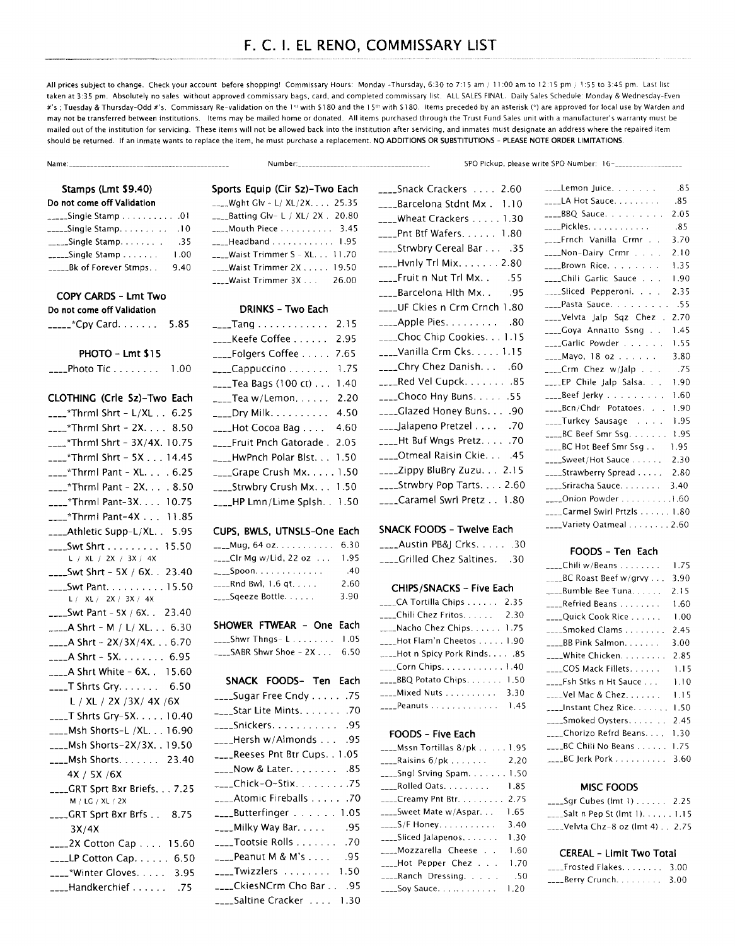# F. C. I. EL RENO, COMMISSARY LIST

All prices subject to change. Check your account before shopping! Commissary Hours: Monday -Thursday, 6:30 to 7:15 am / 11:00 am to 12:15 pm / 1:55 to 3:45 pm. Last list taken at 3:35 pm. Absolutely no sales without approved commissary bags, card, and completed commissary list. ALL SALES FINAL. Daily Sales Schedule: Monday & Wednesday-Even #'s ; Tuesday & Thursday-Odd #'s. Commissary Re-validation on the 1st with \$180 and the 15th with \$180. Items preceded by an asterisk (\*) are approved for local use by Warden and may not be transferred between institutions. Items may be mailed home or donated. All items purchased through the Trust Fund Sales unit with a manufacturer's warranty must be mailed out of the institution for servicing. These items will not be allowed back into the institution after servicing, and inmates must designate an address where the repaired item should be returned. If an inmate wants to replace the item, he must purchase a replacement. NO ADDITIONS OR SUBSTITUTIONS - PLEASE NOTE ORDER LIMITATIONS.

Name:--------------------------------------------- Number: \_\_\_\_\_\_\_\_\_\_\_\_\_\_\_\_\_\_\_\_\_\_\_\_\_\_\_\_\_\_\_\_\_\_\_\_ \_ SPO Pickup, please write SPO Number: 16-\_\_\_\_\_\_\_\_\_\_\_\_\_\_\_\_\_\_ \_

# Stamps (Lmt \$9.40)

# Do not come off Validation

| $\frac{1}{2}$ Single Stamp 01 |      |
|-------------------------------|------|
| _____Single Stamp             | .10  |
| $\frac{1}{2}$ Single Stamp    | .35  |
| $\frac{1}{2}$ - Single Stamp  | 1.00 |
| _Bk of Forever Stmps. .       | 9.40 |

### COPY CARDS - Lmt Two

| Do not come off Validation |      |
|----------------------------|------|
| _____*Cpy Card.            | 5.85 |

### PHOTO - Lmt \$15

\_\_\_\_ Photo Tic . . . . . . . . 1 .00

### CLOTHING (Crle Sz)-Two Each

| $\frac{1}{2}$ Thrml Shrt - L/XL 6.25       |
|--------------------------------------------|
| $25.85$ Thrml Shrt - 2X 8.50               |
| ____*Thrml Shrt - $3X/4X$ . 10.75          |
| $_{---}$ *Thrml Shrt - 5X 14.45            |
| $_{---}$ *Thrml Pant - XL . 6.25           |
| $222 - x$ Thrml Pant - 2X . 8.50           |
| ____*Thrml Pant-3X. 10.75                  |
| ____*Thrml Pant-4X 11.85                   |
| ____Athletic Supp-L/XL. . 5.95             |
| ____Swt Shrt 15.50                         |
| L / XL / 2X / 3X / 4X                      |
| ____Swt Shrt - 5X / 6X. . 23.40            |
| ____Swt Pant. 15.50                        |
| L / XL / 2X / 3X / 4X                      |
| $222$ Swt Pant - 5X / 6X. . 23.40          |
| $-$ A Shrt - M / L/ XL 6.30                |
| $_{\text{---}}$ A Shrt - 2X/3X/4X. 6.70    |
| <b>____A Shrt</b> - 5X. 6.95               |
| $_{\text{---}}$ A Shrt White - 6X. . 15.60 |
| <b>____T</b> Shrts Gry. 6.50               |
| L / XL / 2X / 3X / 4X / 6X                 |
| ____T Shrts Gry-5X. 10.40                  |
| ____Msh Shorts-L /XL. 16.90                |
| ____Msh Shorts-2X/3X. . 19.50              |
| ____Msh Shorts. 23.40                      |
| 4X / 5X / 6X                               |
| ___GRT Sprt Bxr Briefs. 7.25               |
| M / LG / XL / 2X                           |
| ___GRT Sprt Bxr Brfs 8.75                  |
| 3X/4X                                      |
| ____2X Cotton Cap 15.60                    |
| $\frac{1}{2}$ LP Cotton Cap 6.50           |
| ____*Winter Gloves. 3.95                   |
| ____Handkerchief 75                        |

# Sports Equip (Cir Sz)-Two Each \_\_\_\_ Wght Glv - L/ XL/2X. . . . 25.35 \_\_\_\_Batting Glv- L / XL/ 2X . 20.80 \_\_\_\_ Mouth Piece.... . . . . . . 3.4S \_\_\_\_ Headband ............ l.9S \_\_\_\_ Waist Trimmer S - XL. . . 11.70 \_\_\_\_ Waist Trimmer 2X ..... 19.SO \_\_\_\_ Waist Trimmer 3X . . . 26.00

### DRINKS - Two Each

| 2.15                                      |
|-------------------------------------------|
| 2.95                                      |
| 7.65                                      |
| 1.75                                      |
| 1.40                                      |
| 2.20                                      |
| 4.50                                      |
| 4.60                                      |
| ____Fruit Pnch Gatorade .<br>2.05         |
| 1.50                                      |
|                                           |
| ___Strwbry Crush Mx. 1.50                 |
| $_{\text{max}}$ HP Lmn/Lime Splsh. . 1.50 |
|                                           |

### CUPS, BWLS, UTNSLS-One Each

| $_{---}$ Mug, 64 oz. 6.30                |      |
|------------------------------------------|------|
| $\overline{a}$ Clr Mg w/Lid, 22 oz       | 1.95 |
|                                          | .40  |
| $\mu$ <sub>__</sub> _____Rnd Bwl, 1.6 qt | 2.60 |
| ____Sqeeze Bottle                        | 3.90 |

# SHOWER FTWEAR - One Each

\_\_\_\_ Shwr Thngs- L . . . . . . . . 1 .OS  $_{---}$ SABR Shwr Shoe - 2X... 6.50

# SNACK FOODS- Ten Each

| ____Sugar Free Cndy 75    |
|---------------------------|
| ____Star Lite Mints. 70   |
| ____Snickers. 95          |
| Hersh w/Almonds95         |
|                           |
| ____Now & Later. 85       |
| ____Chick-O-Stix. 75      |
| 70. Atomic Fireballs 70   |
| ____Butterfinger 1.05     |
| ____Milky Way Bar. 95     |
| ____Tootsie Rolls 70      |
| ____Peanut M & M's<br>.95 |
| $---Twizzlers$ 1.50       |
| ___CkiesNCrm Cho Bar95    |
| ____Saltine Cracker 1.30  |

| ____Snack Crackers  2.60            |
|-------------------------------------|
| ____Barcelona Stdnt Mx . 1.10       |
| ____Wheat Crackers 1.30             |
| ____Pnt Btf Wafers. 1.80            |
| ____Strwbry Cereal Bar 35           |
| ____Hvnly Trl Mix. 2.80             |
| _____Fruit n Nut Trl Mx. .<br>.55   |
| .___Barcelona HIth Mx. .        .95 |
| ____UF Ckies n Crm Crnch 1.80       |
| $\frac{1}{2}$ Apple Pies. 80        |
| ____Choc Chip Cookies. 1.15         |
| ____Vanilla Crm Cks. 1.15           |
| ____Chry Chez Danish60              |
| ____Red Vel Cupck 85                |
| $\frac{1}{2}$ Choco Hny Buns. 55    |
| ____Glazed Honey Buns.90            |
| ____lalapeno Pretzel 70             |
| ____Ht Buf Wngs Pretz. 70           |
| ____Otmeal Raisin Ckie 45           |
| ____Zippy BluBry Zuzu 2.15          |
| ____Strwbry Pop Tarts. 2.60         |
| ____Caramel Swrl Pretz 1.80         |

| SNACK FOODS - Twelve Each  |  |  |
|----------------------------|--|--|
| $\sim$ Austin PB&I Crks 30 |  |  |
| Grilled Chez Saltines. 30  |  |  |

# CHIPS/SNACKS - Five Each

| ____CA Tortilla Chips 2.35             |  |
|----------------------------------------|--|
|                                        |  |
| $\text{Nacho Chez Chips.} \ldots$ 1.75 |  |
| ____Hot Flam'n Cheetos 1.90            |  |
| 85. Hot n Spicy Pork Rinds85           |  |
| ____Corn Chips. 1.40                   |  |
| ____BBQ Potato Chips 1.50              |  |
| ____Mixed Nuts 3.30                    |  |
| $\frac{1}{2}$ Peanuts  1.45            |  |

## FOODS - Five Each

| $\frac{1}{2}$ Mssn Tortillas 8/pk1.95      |       |
|--------------------------------------------|-------|
| $_{\text{---}}$ Raisins 6/pk 2.20          |       |
| $\frac{1}{2}$ Sngl Srving Spam 1.50        |       |
| $\textcolor{red}{\text{---}}$ Rolled Oats. | 1.85  |
| $\frac{1}{2}$ Creamy Pnt Btr.              | 2.75  |
| $\frac{1}{2}$ Sweet Mate w/Aspar           | 1.65. |
| $\frac{1}{2}$ S/F Honey.                   | 3.40  |
| $\frac{1}{2}$ Sliced Jalapenos             | 1.30  |
| ____Mozzarella Cheese .                    | 1.60  |
| ____Hot Pepper Chez                        | 1.70  |
| ____Ranch Dressing.                        | .50   |
| $\frac{1}{2}$ Soy Sauce                    | 1.20  |

| ____Lemon Juice.                                                | .85   |
|-----------------------------------------------------------------|-------|
| ____LA Hot Sauce.                                               | .85   |
| ____BBQ Sauce.                                                  | 2.05  |
| ____Pickles.                                                    | .85   |
| ___Frnch Vanilla Crmr                                           | 3.70  |
| ____Non-Dairy Crmr                                              | 2.10  |
| $\frac{1}{2}$ -Brown Rice.                                      | 1.35  |
| ____Chili Garlic Sauce                                          | 1.90  |
| Sliced Pepperoni.                                               | 2.35  |
| ____Pasta Sauce. 55                                             |       |
| ____Velvta Jalp Sqz Chez .                                      | 2.70  |
| ____Goya Annatto Ssng                                           | 1.45  |
| $\overline{\phantom{a}}$ Garlic Powder $\overline{\phantom{a}}$ | 1.55  |
| $_{\rm{---}}$ Mayo, 18 oz                                       | 3.80  |
|                                                                 | .75   |
| ____EP Chile Jalp Salsa.                                        | 1.90  |
| ____Beef Jerky                                                  | 1.60  |
| ____Bcn/Chdr Potatoes.                                          | 1.90  |
| ____Turkey Sausage                                              | -1.95 |
| _____BC Beef Smr Ssq. 1.95                                      |       |
| ____BC Hot Beef Smr Ssg                                         | 1.95  |
| ____Sweet/Hot Sauce                                             | 2.30  |
| ____Strawberry Spread 2.80                                      |       |
| ____Sriracha Sauce. 3.40                                        |       |
| $\frac{1}{2}$ Onion Powder 1.60                                 |       |
| ____Carmel Swirl Prtzls 1.80                                    |       |
| ____Variety Oatmeal 2.60                                        |       |

### FOODS - Ten Each

|                                         | 1.75 |
|-----------------------------------------|------|
| $\_\_\_\$ BC Roast Beef w/grvy $\ldots$ | 3.90 |
| ____Bumble Bee Tuna.                    | 2.15 |
| ____Refried Beans                       | 1.60 |
| ____Quick Cook Rice                     | 1.00 |
| ____Smoked Clams                        | 2.45 |
| ____BB Pink Salmon.                     | 3.00 |
| White Chicken.                          | 2.85 |
| COS Mack Fillets.                       | 1.15 |
| Fsh Stks n Ht Sauce                     | 1.10 |
| Vel Mac & Chez.                         | 1.15 |
| _Instant Chez Rice                      | 1.50 |
| Smoked Oysters                          | 2.45 |
| Chorizo Refrd Beans                     | 1.30 |
| BC Chili No Beans                       | 1.75 |
| ___BC Jerk Pork                         | 3.60 |

### MISC FOODS

| $\frac{1}{2}$ Sqr Cubes (lmt 1) $\ldots$ . 2.25 |  |
|-------------------------------------------------|--|
| $\frac{1}{2}$ Salt n Pep St (lmt 1) 1.15        |  |
| ____Velvta Chz-8 oz (lmt 4) 2.75                |  |

#### CEREAL - Limit Two Total

| $\frac{1}{2}$ Frosted Flakes 3.00 |  |
|-----------------------------------|--|
|                                   |  |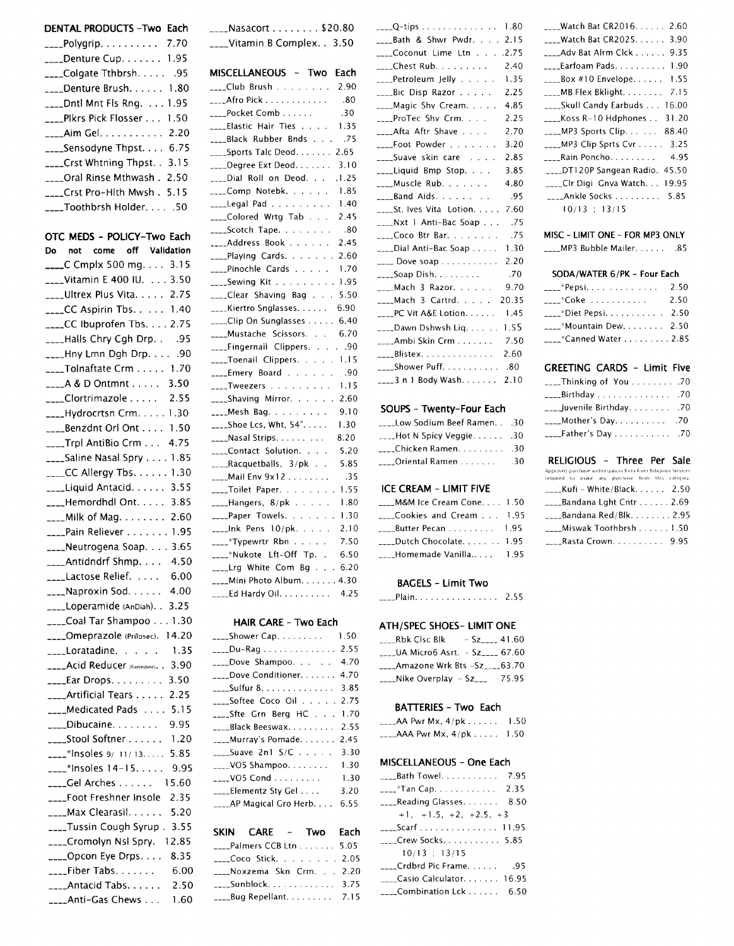#### DENTAL PRODUCTS - Two Each

| ____Polygrip. 7.70                         |  |
|--------------------------------------------|--|
| ____Denture Cup. 1.95                      |  |
| ____Colgate Tthbrsh. 95                    |  |
| $\frac{1}{2}$ Denture Brush 1.80           |  |
| $\text{L}$ Dntl Mnt Fls Rng. $\ldots$ 1.95 |  |
| ____Pikrs Pick Flosser 1.50                |  |
| ____Aim Gel. 2.20                          |  |
| $\frac{1}{2}$ Sensodyne Thpst 6.75         |  |
| ____Crst Whtning Thpst. . 3.15             |  |
| ___Oral Rinse Mthwash . 2.50               |  |
| ___Crst Pro-Hlth Mwsh . 5.15               |  |
| $\text{---}$ Toothbrsh Holder50            |  |

# OTC MEDS - POLICY-Two Each Do not come off Validation  $\frac{1}{2}$  C Cmplx 500 mg... 3.15 \_\_\_\_Vitamin E 400 IU. . . . 3.50 \_\_\_\_Ultrex Plus Vita. . . . . 2.75 \_\_\_\_CC Aspirin Tbs. . . . . 1.40  $_{\text{max}}$ CC Ibuprofen Tbs. . . . 2.75 \_\_\_\_Halls Chry Cgh Drp. . . . 95 \_\_\_\_Hny Lmn Dgh Drp. . . . . . 90 \_\_\_\_Tolnaftate Crm . . . . . 1.70  $\frac{1}{2}$  A & D Ontmnt . . . . . 3.50 \_\_\_\_Clortrimazole..... 2.55 \_\_\_\_Hydrocrtsn Crm. . . . . 1.30  $\frac{1}{2}$ Benzdnt Orl Ont .... 1.50 \_\_\_\_Trpl AntiBio Crm . . . 4.75 \_\_\_\_Saline Nasal Spry . . . . 1.85 \_\_\_\_CC Allergy Tbs. . . . . . 1.30 \_\_\_\_Liquid Antacid. . . . . . 3.55 \_\_\_Hemordhdl Ont. . . . . 3.85 \_\_\_\_Milk of Mag. . . . . . . . 2.60 \_\_\_\_Pain Reliever . . . . . . . 1.95 \_\_\_Neutrogena Soap. . . . 3.65 \_\_\_\_Antidndrf Shmp. . . . 4.50 \_\_\_\_Lactose Relief. . . . . 6.00 \_\_\_\_Naproxin Sod. . . . . . 4.00 \_\_\_\_Loperamide (AnDiah). . 3.25 \_\_\_\_Coal Tar Shampoo . . . 1.30 \_\_\_\_Omeprazole (Prilosec). 14.20 \_\_\_\_Loratadine. . . . . 1.35 \_\_\_\_Acid Reducer (Ranitidine). . 3.90  $_{---}$ Ear Drops. . . . . . . . . 3.50 \_\_\_\_Artificial Tears . . . . . 2.25 \_\_\_\_Medicated Pads . . . . 5.15 \_\_\_\_Dibucaine. . . . . . . . 9.95 \_\_\_\_Stool Softner . . . . . . 1.20  $\frac{1}{2}$  \* Insoles 9/ 11/ 13. . . . . 5.85  $---$ \*Insoles 14-15..... 9.95 \_\_\_\_Gel Arches . . . . . . 15.60 \_\_\_\_Foot Freshner Insole 2.35 \_\_\_\_Max Clearasil. . . . . . 5.20 \_\_\_\_Tussin Cough Syrup. 3.55 \_\_\_Cromolyn Nsl Spry. 12.85 \_\_\_Opcon Eye Drps. . . . 8.35  $_{\text{---}}$ Fiber Tabs. . . . . . . . 6.00 \_\_\_\_Antacid Tabs. . . . . . 2.50 \_\_\_\_Anti-Gas Chews . . . 1.60

 $\frac{1}{2}$  Nasacort ....... \$20.80 \_\_\_\_Vitamin B Complex. . 3.50

| MISCELLANEOUS - Two Each                                                    |
|-----------------------------------------------------------------------------|
| ____Club Brush<br>2.90                                                      |
| .80<br>$-$ Afro Pick                                                        |
| .30<br>____Pocket Comb                                                      |
| ____Elastic Hair Ties<br>1.35<br>$\mathcal{L}$<br>$\mathbf{r}$              |
| ____Black Rubber Bnds<br>.75                                                |
| $\frac{1}{2}$ Sports Talc Deod.  2.65                                       |
| ____Degree Ext Deod.<br>3.10                                                |
| .1.25<br>$\sim$ Dial Roll on Deod.                                          |
| ____Comp_Notebk.<br>1.85                                                    |
| 1.40<br>$\frac{1}{2}$ Legal Pad                                             |
| ____Colored Wrtg Tab<br>2.45                                                |
| ____Scotch Tape.<br>.80                                                     |
| Address Book<br>2.45                                                        |
| ____Playing Cards.<br>2.60<br>$\mathbf{r}$<br>$\mathbf{r}$<br>$\ddotsc$     |
| ____Pinochle Cards<br>1.70                                                  |
| $\sim$ Sewing Kit 1.95                                                      |
| $\text{---}$ Clear Shaving Bag 5.50                                         |
| ____Kiertro Snglasses. 6.90                                                 |
| ___Clip On Sunglasses 6.40                                                  |
| ____Mustache Scissors. .<br>6.70<br>$\mathcal{L}$                           |
| ____Fingernail Clippers.<br>. 90                                            |
| ____Toenail Clippers. 1.15                                                  |
| Emery Board<br>.90                                                          |
| ____Tweezers<br>1.15                                                        |
| ____Shaving Mirror.<br>2.60<br>$\ddot{\phantom{a}}$<br>$\ddot{\phantom{a}}$ |
| 9.10<br>____Mesh Bag.<br>والمتحامية                                         |
| $\frac{1}{2}$ Shoe Lcs, Wht, 54"<br>1.30                                    |
| ____Nasal Strips.<br>8.20                                                   |
| ___Contact Solution.<br>5.20                                                |
| ____Racquetballs, 3/pk .<br>5.85                                            |
| $\frac{1}{2}$ Mail Env 9x12<br>.35                                          |
| ____Toilet Paper.<br>1.55                                                   |
| $\frac{1}{2}$ --Hangers, 8/pk $\cdots$<br>1.80                              |
| ____Paper Towels.<br>1.30                                                   |
| $\sim$ -Ink Pens 10/pk.<br>2.10                                             |
| 7.50<br>____*Typewrtr Rbn<br>.                                              |
| 6.50<br>____*Nukote Lft-Off Tp. .                                           |
| ____Lrg White Com Bg 6.20                                                   |
| Mini Photo Album. 4.30                                                      |
| 4.25<br>$\overline{\phantom{a}}$ Ed Hardy Oil. $\overline{\phantom{a}}$     |

### **HAIR CARE - Two Each**

| ____Shower Cap.           | 1.50 |
|---------------------------|------|
| ____Du-Rag                | 2.55 |
| ____Dove Shampoo          | 4.70 |
| ____Dove Conditioner.     | 4.70 |
| ____Sulfur 8.             | 3.85 |
|                           | 2.75 |
| ____Sfte Grn Berg HC      | 1.70 |
| _____Black Beeswax        | 2.55 |
| ____Murray's Pomade.      | 2.45 |
| $_{---}$ Suave 2n1 S/C    | 3.30 |
| $\sim$ VO5 Shampoo        | 1.30 |
| $_{\text{max}}$ VO5 Cond  | 1.30 |
| ____Elementz Sty Gel      | 3.20 |
| ____AP Magical Gro Herb.  | 6.55 |
|                           |      |
| SKIN CARE - Two           | Each |
| ___Palmers CCB Ltn        | 5.05 |
| ____Coco Stick. 2.05      |      |
| ____Noxzema Skn Crm. 2.20 |      |
| ____Sunblock.             | 3.75 |

 $\text{L}_{\text{max}}$ Bug Repellant......... 7.15

| $Q$ -tips 1.80                     |       |
|------------------------------------|-------|
| ____Bath & Shwr Pwdr. 2.15         |       |
| ____Coconut Lime Ltn2.75           |       |
| ____Chest Rub.                     | 2.40  |
| ____Petroleum Jelly                | 1.35  |
| ____Bic Disp Razor                 | 2.25  |
| ____Magic Shv Cream.               | 4.85  |
| ____ProTec Shv Crm.                | 2.25  |
| ____Afta Aftr Shave                | 2.70  |
|                                    | 3.20  |
| ____Suave skin care                | 2.85  |
| ____Liquid Bmp Stop                | 3.85  |
| ____Muscle Rub.                    | 4.80  |
| $\frac{1}{2}$ Band Aids.           | .95   |
| $\frac{1}{2}$ St. Ives Vita Lotion | 7.60  |
| ____Nxt 1 Anti-Bac Soap            | .75   |
| ____Coco Btr Bar.                  | .75   |
| ____Dial Anti-Bac Soap             | 1.30  |
| $\frac{1}{2}$ Dove soap            | 2.20  |
|                                    | .70   |
| $_{\text{max}}$ Mach 3 Razor       | 9.70  |
| $\frac{1}{2}$ Mach 3 Cartrd.       | 20.35 |
| ____PC Vit A&E Lotion.             | 1.45  |
| $\sim$ Dawn Dshwsh Liq             | 1.55  |
| $\frac{1}{2}$ Ambi Skin Crm        | 7.50  |
| $\frac{1}{2}$ Blistex              | 2.60  |
|                                    |       |
| ____3 n 1 Body Wash.               | 2.10  |
|                                    |       |

### SOUPS - Twenty-Four Each

| Low Sodium Beef Ramen30 |     |
|-------------------------|-----|
|                         |     |
| ____Chicken Ramen. 30   |     |
| ____Oriental Ramen      | .30 |

### **ICE CREAM - LIMIT FIVE**

| ____M&M Ice Cream Cone 1.50                          |  |
|------------------------------------------------------|--|
| $\frac{1}{2}$ Cookies and Cream $\frac{1}{2}$ . 1.95 |  |
| $\frac{1}{2}$ Butter Pecan 1.95                      |  |
| $\frac{1}{2}$ Dutch Chocolate 1.95                   |  |
|                                                      |  |

#### **BAGELS - Limit Two**

| ___Plain. <sup>-</sup><br>2.55 |
|--------------------------------|
|--------------------------------|

# **ATH/SPEC SHOES- LIMIT ONE**

| <b>Rbk Clsc Blk</b>                                   | $-Sz = 41.60$ |
|-------------------------------------------------------|---------------|
| _____UA Micro6 Asrt. - $\text{Sz}_{\text{max}}$ 67.60 |               |
| $\frac{1}{2}$ Amazone Wrk Bts $-5z$ , 63.70           |               |
| $\frac{1}{2}$ -Nike Overplay – Sz $\frac{1}{2}$       | 75.95         |

### **BATTERIES - Two Each**

| $\sim$ AA Pwr Mx, 4/pk $\ldots$ .     | 1.50 |
|---------------------------------------|------|
| $_{\text{---}}$ AAA Pwr Mx, 4/pk 1.50 |      |

# MISCELLANEOUS - One Each

| <b>Example 1</b> Towel. 7.95                           |  |
|--------------------------------------------------------|--|
| $\frac{1}{2}$ Tan Cap. 2.35                            |  |
| $\frac{1}{2}$ Reading Glasses 8.50                     |  |
| $+1$ , $+1.5$ , $+2$ , $+2.5$ , $+3$                   |  |
|                                                        |  |
| $C$ rew Socks. 5.85                                    |  |
| 10/13 : 13/15                                          |  |
|                                                        |  |
| $\textcolor{red}{\mathcal{L}}$ Casio Calculator. 16.95 |  |
| Combination Lck 6.50                                   |  |

| ____Watch Bat CR2016. 2.60               |
|------------------------------------------|
| ____Watch Bat CR2025 3.90                |
| ____Adv Bat Alrm Clck 9.35               |
| ____Earfoam Pads. 1.90                   |
| $_{---}$ Box #10 Envelope 1.55           |
|                                          |
| ____Skull Candy Earbuds 16.00            |
| $_{\text{---}}$ Koss R=10 Hdphones 31.20 |
| $_{\text{---}}$ MP3 Sports Clip 88.40    |
| ____MP3 Clip Sprts Cvr $\ldots$ 3.25     |
| 4.95<br>____Rain Poncho. <i>.</i>        |
| DT120P Sangean Radio. 45.50              |
| Clr Digi Gnva Watch 19.95                |
| $\frac{1}{2}$ Ankle Socks  5.85          |
| 10/13 : 13/15                            |
|                                          |

### MISC - LIMIT ONE - FOR MP3 ONLY

\_\_\_\_MP3 Bubble Mailer. . . . . . . . 85

#### SODA/WATER 6/PK - Four Each

| ____*Pepsi <i></i>              | 2.50 |
|---------------------------------|------|
| ____*Coke                       | 2.50 |
| ____*Diet Pepsi. 2.50           |      |
| $\frac{1}{2}$ Mountain Dew 2.50 |      |
| ____*Canned Water 2.85          |      |
|                                 |      |

# **GREETING CARDS - Limit Five**

| $\frac{1}{2}$ Birthday 70         |  |
|-----------------------------------|--|
| <b>Lack Juvenile Birthday.</b> 70 |  |
|                                   |  |
|                                   |  |

### RELIGIOUS - Three Per Sale

| Approved purchase authorization form from Religious Services |  |
|--------------------------------------------------------------|--|
| required to make any purchase from this category             |  |
| $\frac{1}{2}$ Kufi – White/Black 2.50                        |  |
| $\frac{1}{2}$ Bandana Lght Cntr 2.69                         |  |
|                                                              |  |
| ___Miswak Toothbrsh 1.50                                     |  |
| $Rasta$ Crown 9.95                                           |  |
|                                                              |  |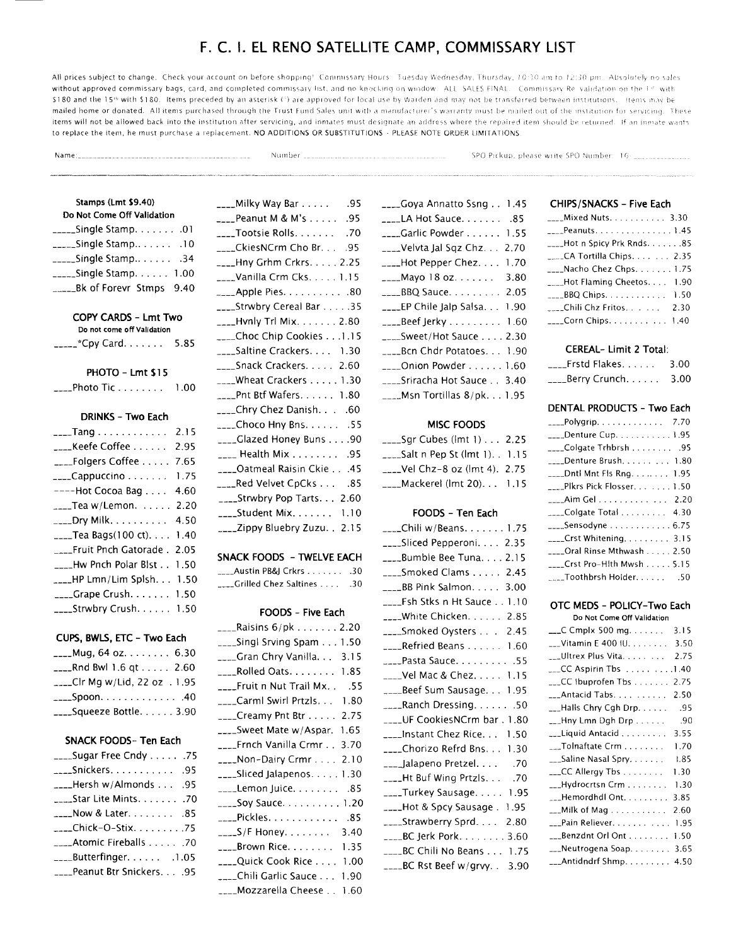# F. C. 1. EL RENO SATELLITE CAMP, COMMISSARY LIST

All prices subject to change. Check your account on before shopping! Commissary Hours: Tuesday Wednesday, Thursday, 10:30 am to 12:30 pm. Absolutely no sales without approved commissary bags, card, and completed commissary list, and no knocking on window. ALL SALES FINAL. Commissary Re-validation on the 1st with \$180 and the 15th with \$180. Items preceded by an asterisk (\*) are approved for local use by Warden and may not be transferred between institutions. Items may be mailed home or donated. All items purchased through the Trust Fund Sales unit with a manufacturer's warranty must be mailed out of the institution for servicing. These items will not be allowed back into the institution after servicing, and inmates must designate an address where the repaired item should be returned. If an inmate wants to replace the item, he must purchase a replacement. NO ADDITIONS OR SUBSTITUTIONS - PLEASE NOTE ORDER LIMITATIONS

Name:\_ .. --------·-·- Nu rn be r

SPO Pickup, please write SPO Number: 16 - \_\_\_\_\_\_\_\_\_\_\_\_\_\_

### Stamps (Lmt \$9.40) Do Not Come Off Validation

| $\frac{1}{2}$ Single Stamp10            |  |
|-----------------------------------------|--|
| $\frac{1}{2}$ Single Stamp34            |  |
| $\frac{1}{2}$ Single Stamp 1.00         |  |
| $_{\text{---}}$ Bk of Forevr Stmps 9.40 |  |

# COPY CARDS - Lmt Two

| Do not come off Validation |      |
|----------------------------|------|
| _____*Cpy Card.            | 5.85 |

### PHOTO - Lmt \$15

| ____Photo Tic |  |  |  |  |  |  |  |  |  | 1.00 |
|---------------|--|--|--|--|--|--|--|--|--|------|
|---------------|--|--|--|--|--|--|--|--|--|------|

### DRINKS - Two Each

| 2.15                                                |
|-----------------------------------------------------|
| 2.95                                                |
| 7.65                                                |
| 1.75                                                |
| 4.60                                                |
| 2.20                                                |
| 4.50                                                |
| 1.40                                                |
| ____Fruit Pnch Gatorade . 2.05                      |
| $\frac{1}{2}$ Hw Pnch Polar Bist $\frac{1}{2}$ 1.50 |
| <sub>----</sub> -HP Lmn/Lim Splsh. 1.50             |
| $\frac{1}{2}$ Grape Crush 1.50                      |
| $\frac{1}{2}$ Strwbry Crush 1.50                    |
|                                                     |

# CUPS, BWLS, ETC - Two Each

| ____Mug, 64 oz. 6.30                          |  |
|-----------------------------------------------|--|
| $_{\text{---}}$ Rnd Bwl 1.6 qt $\dots$ . 2.60 |  |
| ___Clr Mg w/Lid, 22 oz $.1.95$                |  |
|                                               |  |
| ____Squeeze Bottle. 3.90                      |  |
|                                               |  |

## SNACK FOODS- Ten Each

| ____Sugar Free Cndy 75     |  |
|----------------------------|--|
| ____Snickers. 95           |  |
| Hersh w/Almonds  .95       |  |
| ____Star Lite Mints. 70    |  |
|                            |  |
| ____Chick-O-Stix75         |  |
| Atomic Fireballs 70        |  |
| ____Butterfinger. 1.05     |  |
| ____Peanut Btr Snickers.95 |  |
|                            |  |

| ____Milky Way Bar 95                                   |
|--------------------------------------------------------|
| ____Peanut M & M's 95                                  |
| ____Tootsie Rolls. $\ldots$ . 70                       |
| $\text{L}_{\text{max}}$ CkiesNCrm Cho Br. $\ldots$ .95 |
| ____Hny Grhm Crkrs. 2.25                               |
| ____Vanilla Crm Cks. 1.15                              |
| $\overline{a}$ Apple Pies. $\overline{a}$ . 80         |
| ____Strwbry Cereal Bar 35                              |
| $\frac{1}{2}$ -Lynly Trl Mix. $\ldots$ 2.80            |
| ____Choc Chip Cookies 1.15                             |
| ___Saltine Crackers. 1.30                              |
| ____Snack Crackers. 2.60                               |
| ____Wheat Crackers 1.30                                |
| ____Pnt Btf Wafers. 1.80                               |
| ____Chry Chez Danish. 60                               |
| ____Choco Hny Bns. $\dots$ . 55                        |
| ____Glazed Honey Buns90                                |
| $\frac{1}{2}$ Health Mix $\ldots$ 95                   |
| ____Oatmeal Raisin Ckie45                              |
| $_{---}$ Red Velvet CpCks $\ldots$ .85                 |
| ____Strwbry Pop Tarts 2.60                             |
| ____Student Mix. 1.10                                  |
| ____Zippy Bluebry Zuzu. . 2.15                         |

# SNACK FOODS - TWELVE EACH

| _Austin PB&J Crkrs       | .30 |
|--------------------------|-----|
| ___Grilled Chez Saltines | .30 |

### FOODS - Five Each

| ____Raisins 6/pk 2.20                        |
|----------------------------------------------|
| $\text{---}$ Singl Srving Spam $\ldots$ 1.50 |
| ____Gran Chry Vanilla.    3.15               |
| ____Rolled Oats.<br>1.85                     |
| ____Fruit n Nut Trail Mx. .<br>.55           |
| ____Carml Swirl Prtzls.<br>1.80              |
| ___Creamy Pnt Btr 2.75                       |
| ____Sweet Mate w/Aspar.<br>1.65              |
| ____Frnch Vanilla Crmr 3.70                  |
| ____Non-Dairy Crmr 2.10                      |
| ____Sliced Jalapenos1.30                     |
| ____Lemon Juice.<br>- 85                     |
| ____Soy Sauce. 1.20                          |
| ____Pickles.<br>-85                          |
| ____S/F Honey.<br>3.40                       |
| $\overline{\phantom{a}}$ Brown Rice.<br>1.35 |
| ____Quick Cook Rice 1.00                     |
| ____Chili Garlic Sauce<br>1.90               |
| ___Mozzarella Cheese<br>1.60                 |

| $\frac{1}{2}$ Goya Annatto Ssng 1.45            |  |
|-------------------------------------------------|--|
| $\frac{1}{2}$ LA Hot Sauce. $\ldots$ 85         |  |
| ____Garlic Powder 1.55                          |  |
| ____Velvta Jal Sqz Chz. 2.70                    |  |
| $_{\text{---}}$ Hot Pepper Chez 1.70            |  |
| $_{\text{---}}$ Mayo 18 oz. 3.80                |  |
| $_{\texttt{---}$ BBQ Sauce 2.05                 |  |
| ____EP Chile Jalp Salsa. 1.90                   |  |
| ____Beef Jerky 1.60                             |  |
| ____Sweet/Hot Sauce 2.30                        |  |
| ____Bcn Chdr Potatoes 1.90                      |  |
| ____Onion Powder 1.60                           |  |
| ____Sriracha Hot Sauce 3.40                     |  |
| $\text{L}_{\text{max}}$ Msn Tortillas 8/pk 1.95 |  |

# MISC FOODS

| ____Sqr Cubes (lmt 1) 2.25                  |  |
|---------------------------------------------|--|
| $\frac{1}{2}$ Salt n Pep St (lmt 1). . 1.15 |  |
| $_{-}$ Vel Chz-8 oz (lmt 4). 2.75           |  |
| ____Mackerel (lmt 20). 1.15                 |  |

## FOODS - Ten Each

| ____Sliced Pepperoni. 2.35                    |
|-----------------------------------------------|
| ____Bumble Bee Tuna.  2.15                    |
| ____Smoked Clams 2.45                         |
| $\frac{1}{2}$ BB Pink Salmon 3.00             |
| ____Fsh Stks n Ht Sauce 1.10                  |
| ____White Chicken. 2.85                       |
| ____Smoked Oysters 2.45                       |
| ____Refried Beans 1.60                        |
| ____Pasta Sauce. 55                           |
| ____Vel Mac & Chez. 1.15                      |
| ____Beef Sum Sausage. 1.95                    |
| $\frac{1}{2}$ Ranch Dressing. 50              |
| ____UF CookiesNCrm bar . 1.80                 |
| ____Instant Chez Rice 1.50                    |
| ____Chorizo Refrd Bns. 1.30                   |
| ____Jalapeno Pretzel. 70                      |
| Ht Buf Wing Prtzls70                          |
| ____Turkey Sausage. 1.95                      |
| ____Hot & Spcy Sausage . 1.95                 |
| $\frac{1}{2}$ Strawberry Sprd. 2.80           |
| $_{\texttt{---}BC}$ Jerk Pork. $\ldots$ 3.60  |
| ____BC Chili No Beans 1.75                    |
| $_{\rm{---}}$ BC Rst Beef w/grvy. . $\,$ 3.90 |

# CHIPS/SNACKS - Five Each

| $\frac{1}{2}$ Mixed Nuts 3.30          |  |
|----------------------------------------|--|
|                                        |  |
| $\frac{1}{2}$ Hot n Spicy Prk Rnds. 85 |  |
| _____ CA Tortilla Chips. 2.35          |  |
| $\text{---}$ Nacho Chez Chps1.75       |  |
| ____Hot Flaming Cheetos 1.90           |  |
| $_{\text{---}}$ BBQ Chips. 1.50        |  |
| $\frac{1}{2}$ Chili Chz Fritos 2.30    |  |
| $\frac{1}{2}$ Corn Chips 1.40          |  |
|                                        |  |

# CEREAL- Limit 2 Total:

| $\frac{1}{2}$ Frstd Flakes                                  | 3.00 |
|-------------------------------------------------------------|------|
| $\overline{\phantom{a}}\overline{\phantom{a}}$ Berry Crunch | 3.00 |

### DENTAL PRODUCTS -Two Each

| ____Polygrip. 7.70                                                     |
|------------------------------------------------------------------------|
| ____Denture Cup. 1.95                                                  |
| ____Colgate Trhbrsh 95                                                 |
| ____Denture Brush 1.80                                                 |
| $\text{---}$ Dntl Mnt Fls Rng. 1.95                                    |
| ____PIkrs Pick Flosser 1.50                                            |
|                                                                        |
| ____Colgate Total 4.30                                                 |
| ____Sensodyne <i>.</i> . 6.75                                          |
| ____Crst Whitening. 3.15                                               |
| ____Oral Rinse Mthwash 2.50                                            |
| ____Crst Pro-Hlth Mwsh 5.15                                            |
| $\overline{\phantom{a}}$ Toothbrsh Holder. $\overline{\phantom{a}}$ 50 |
|                                                                        |

### OTC MEDS - POLICY-Two Each

| Do Not Come Off Validation                                           |      |
|----------------------------------------------------------------------|------|
| $\textcolor{red}{\mathsf{---C}}$ Cmplx 500 mg.                       | 3.15 |
| $_{--}$ Vitamin E 400 IU.                                            | 3.50 |
| _Ultrex Plus Vita.                                                   | 2.75 |
| $\textcolor{red}{\text{CC}}$ Aspirin Tbs $\ldots \ldots \ldots 1.40$ |      |
| ___CC Ibuprofen Tbs                                                  | 2.75 |
| ___Antacid Tabs                                                      | 2.50 |
| ___Halls Chry Cgh Drp.                                               | .95  |
| $L$ -Hny Lmn Dgh Drp                                                 | .90  |
| ___Liquid Antacid                                                    | 3.55 |
| ___Tolnaftate Crm                                                    | 1.70 |
| ___Saline Nasal Spry.                                                | 1.85 |
| ___CC Allergy Tbs                                                    | 1.30 |
| ___Hydrocrtsn Crm                                                    | 1.30 |
| ___Hemordhdl Ont.                                                    | 3.85 |
| $\textcolor{red}{\mathsf{---Milk}}$ of Mag $\ldots \ldots \ldots$    | 2.60 |
| ___Pain Reliever.                                                    | 1.95 |
| ___Benzdnt Orl Ont                                                   | 1.50 |
| ___Neutrogena Soap.                                                  | 3.65 |
| ___Antidndrf Shmp.                                                   | 4.50 |
|                                                                      |      |